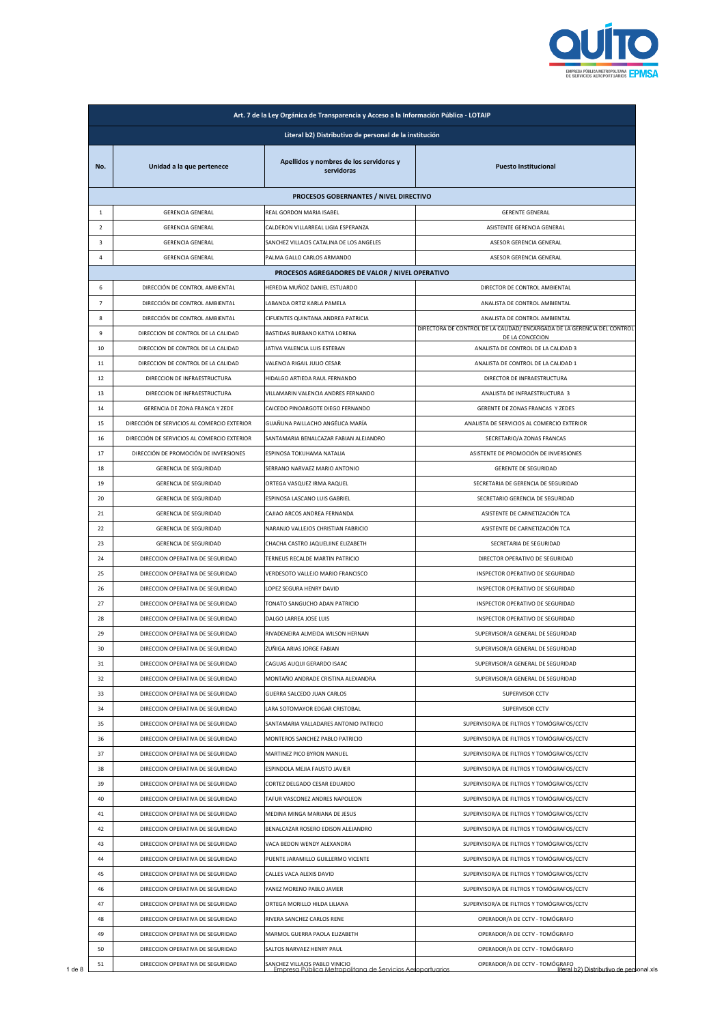

|                |                                             | Literal b2) Distributivo de personal de la institución |                                                                         |
|----------------|---------------------------------------------|--------------------------------------------------------|-------------------------------------------------------------------------|
| No.            | Unidad a la que pertenece                   | Apellidos y nombres de los servidores y<br>servidoras  | <b>Puesto Institucional</b>                                             |
|                |                                             | PROCESOS GOBERNANTES / NIVEL DIRECTIVO                 |                                                                         |
| $\mathbf{1}$   | <b>GERENCIA GENERAL</b>                     | REAL GORDON MARIA ISABEL                               | <b>GERENTE GENERAL</b>                                                  |
| $\overline{2}$ | <b>GERENCIA GENERAL</b>                     | CALDERON VILLARREAL LIGIA ESPERANZA                    | ASISTENTE GERENCIA GENERAL                                              |
| $\mathbf{3}$   | <b>GERENCIA GENERAL</b>                     | SANCHEZ VILLACIS CATALINA DE LOS ANGELES               | ASESOR GERENCIA GENERAL                                                 |
| 4              | <b>GERENCIA GENERAL</b>                     | PALMA GALLO CARLOS ARMANDO                             | ASESOR GERENCIA GENERAL                                                 |
|                |                                             | PROCESOS AGREGADORES DE VALOR / NIVEL OPERATIVO        |                                                                         |
| 6              | DIRECCIÓN DE CONTROL AMBIENTAL              | HEREDIA MUÑOZ DANIEL ESTUARDO                          | DIRECTOR DE CONTROL AMBIENTAL                                           |
| $\overline{7}$ | DIRECCIÓN DE CONTROL AMBIENTAL              | LABANDA ORTIZ KARLA PAMELA                             | ANALISTA DE CONTROL AMBIENTAL                                           |
| 8              | DIRECCIÓN DE CONTROL AMBIENTAL              | CIFUENTES QUINTANA ANDREA PATRICIA                     | ANALISTA DE CONTROL AMBIENTAL                                           |
| 9              | DIRECCION DE CONTROL DE LA CALIDAD          | BASTIDAS BURBANO KATYA LORENA                          | DIRECTORA DE CONTROL DE LA CALIDAD/ENCARGADA DE LA GERENCIA DEL CONTROL |
| 10             | DIRECCION DE CONTROL DE LA CALIDAD          | JATIVA VALENCIA LUIS ESTEBAN                           | DE LA CONCECION<br>ANALISTA DE CONTROL DE LA CALIDAD 3                  |
| 11             | DIRECCION DE CONTROL DE LA CALIDAD          | VALENCIA RIGAIL JULIO CESAR                            | ANALISTA DE CONTROL DE LA CALIDAD 1                                     |
| 12             | DIRECCION DE INFRAESTRUCTURA                | HIDALGO ARTIEDA RAUL FERNANDO                          | DIRECTOR DE INFRAESTRUCTURA                                             |
| 13             | DIRECCION DE INFRAESTRUCTURA                | VILLAMARIN VALENCIA ANDRES FERNANDO                    | ANALISTA DE INFRAESTRUCTURA 3                                           |
| 14             | GERENCIA DE ZONA FRANCA Y ZEDE              | CAICEDO PINOARGOTE DIEGO FERNANDO                      | GERENTE DE ZONAS FRANCAS Y ZEDES                                        |
| 15             | DIRECCIÓN DE SERVICIOS AL COMERCIO EXTERIOR | GUAÑUNA PAILLACHO ANGÉLICA MARÍA                       | ANALISTA DE SERVICIOS AL COMERCIO EXTERIOR                              |
| 16             | DIRECCIÓN DE SERVICIOS AL COMERCIO EXTERIOR | SANTAMARIA BENALCAZAR FABIAN ALEJANDRO                 | SECRETARIO/A ZONAS FRANCAS                                              |
| 17             | DIRECCIÓN DE PROMOCIÓN DE INVERSIONES       | ESPINOSA TOKUHAMA NATALIA                              | ASISTENTE DE PROMOCIÓN DE INVERSIONES                                   |
| 18             | <b>GERENCIA DE SEGURIDAD</b>                | SERRANO NARVAEZ MARIO ANTONIO                          | <b>GERENTE DE SEGURIDAD</b>                                             |
|                |                                             |                                                        |                                                                         |
| 19             | GERENCIA DE SEGURIDAD                       | ORTEGA VASQUEZ IRMA RAQUEL                             | SECRETARIA DE GERENCIA DE SEGURIDAD                                     |
| 20             | GERENCIA DE SEGURIDAD                       | ESPINOSA LASCANO LUIS GABRIEL                          | SECRETARIO GERENCIA DE SEGURIDAD                                        |
| 21             | GERENCIA DE SEGURIDAD                       | CAJIAO ARCOS ANDREA FERNANDA                           | ASISTENTE DE CARNETIZACIÓN TCA                                          |
| 22             | GERENCIA DE SEGURIDAD                       | NARANJO VALLEJOS CHRISTIAN FABRICIO                    | ASISTENTE DE CARNETIZACIÓN TCA                                          |
| 23             | GERENCIA DE SEGURIDAD                       | CHACHA CASTRO JAQUELIINE ELIZABETH                     | SECRETARIA DE SEGURIDAD                                                 |
| 24             | DIRECCION OPERATIVA DE SEGURIDAD            | TERNEUS RECALDE MARTIN PATRICIO                        | DIRECTOR OPERATIVO DE SEGURIDAD                                         |
| 25             | DIRECCION OPERATIVA DE SEGURIDAD            | VERDESOTO VALLEJO MARIO FRANCISCO                      | INSPECTOR OPERATIVO DE SEGURIDAD                                        |
| 26             | DIRECCION OPERATIVA DE SEGURIDAD            | LOPEZ SEGURA HENRY DAVID                               | INSPECTOR OPERATIVO DE SEGURIDAD                                        |
| 27             | DIRECCION OPERATIVA DE SEGURIDAD            | TONATO SANGUCHO ADAN PATRICIO                          | INSPECTOR OPERATIVO DE SEGURIDAD                                        |
| 28             | DIRECCION OPERATIVA DE SEGURIDAD            | DALGO LARREA JOSE LUIS                                 | INSPECTOR OPERATIVO DE SEGURIDAD                                        |
| 29             | DIRECCION OPERATIVA DE SEGURIDAD            | RIVADENEIRA ALMEIDA WILSON HERNAN                      | SUPERVISOR/A GENERAL DE SEGURIDAD                                       |
| 30             | DIRECCION OPERATIVA DE SEGURIDAD            | ZUÑIGA ARIAS JORGE FABIAN                              | SUPERVISOR/A GENERAL DE SEGURIDAD                                       |
| 31             | DIRECCION OPERATIVA DE SEGURIDAD            | CAGUAS AUQUI GERARDO ISAAC                             | SUPERVISOR/A GENERAL DE SEGURIDAD                                       |
| 32             | DIRECCION OPERATIVA DE SEGURIDAD            | MONTAÑO ANDRADE CRISTINA ALEXANDRA                     | SUPERVISOR/A GENERAL DE SEGURIDAD                                       |
| 33             | DIRECCION OPERATIVA DE SEGURIDAD            | GUERRA SALCEDO JUAN CARLOS                             | SUPERVISOR CCTV                                                         |
| 34             | DIRECCION OPERATIVA DE SEGURIDAD            | LARA SOTOMAYOR EDGAR CRISTOBAL                         | SUPERVISOR CCTV                                                         |
| 35             | DIRECCION OPERATIVA DE SEGURIDAD            | SANTAMARIA VALLADARES ANTONIO PATRICIO                 | SUPERVISOR/A DE FILTROS Y TOMÓGRAFOS/CCTV                               |
| 36             | DIRECCION OPERATIVA DE SEGURIDAD            | MONTEROS SANCHEZ PABLO PATRICIO                        | SUPERVISOR/A DE FILTROS Y TOMÓGRAFOS/CCTV                               |
| 37             | DIRECCION OPERATIVA DE SEGURIDAD            | MARTINEZ PICO BYRON MANUEL                             | SUPERVISOR/A DE FILTROS Y TOMÓGRAFOS/CCTV                               |
| 38             | DIRECCION OPERATIVA DE SEGURIDAD            | ESPINDOLA MEJIA FAUSTO JAVIER                          | SUPERVISOR/A DE FILTROS Y TOMÓGRAFOS/CCTV                               |
| 39             | DIRECCION OPERATIVA DE SEGURIDAD            | CORTEZ DELGADO CESAR EDUARDO                           | SUPERVISOR/A DE FILTROS Y TOMÓGRAFOS/CCTV                               |
| 40             | DIRECCION OPERATIVA DE SEGURIDAD            | TAFUR VASCONEZ ANDRES NAPOLEON                         | SUPERVISOR/A DE FILTROS Y TOMÓGRAFOS/CCTV                               |
| 41             | DIRECCION OPERATIVA DE SEGURIDAD            | MEDINA MINGA MARIANA DE JESUS                          | SUPERVISOR/A DE FILTROS Y TOMÓGRAFOS/CCTV                               |
| 42             | DIRECCION OPERATIVA DE SEGURIDAD            | BENALCAZAR ROSERO EDISON ALEJANDRO                     | SUPERVISOR/A DE FILTROS Y TOMÓGRAFOS/CCTV                               |
| 43             | DIRECCION OPERATIVA DE SEGURIDAD            | VACA BEDON WENDY ALEXANDRA                             | SUPERVISOR/A DE FILTROS Y TOMÓGRAFOS/CCTV                               |
| 44             | DIRECCION OPERATIVA DE SEGURIDAD            | PUENTE JARAMILLO GUILLERMO VICENTE                     | SUPERVISOR/A DE FILTROS Y TOMÓGRAFOS/CCTV                               |
| 45             | DIRECCION OPERATIVA DE SEGURIDAD            | CALLES VACA ALEXIS DAVID                               | SUPERVISOR/A DE FILTROS Y TOMÓGRAFOS/CCTV                               |
| 46             | DIRECCION OPERATIVA DE SEGURIDAD            | YANEZ MORENO PABLO JAVIER                              | SUPERVISOR/A DE FILTROS Y TOMÓGRAFOS/CCTV                               |
| 47             | DIRECCION OPERATIVA DE SEGURIDAD            | ORTEGA MORILLO HILDA LILIANA                           | SUPERVISOR/A DE FILTROS Y TOMÓGRAFOS/CCTV                               |
| 48             | DIRECCION OPERATIVA DE SEGURIDAD            | RIVERA SANCHEZ CARLOS RENE                             | OPERADOR/A DE CCTV - TOMÓGRAFO                                          |
|                |                                             |                                                        |                                                                         |
| 49             | DIRECCION OPERATIVA DE SEGURIDAD            | MARMOL GUERRA PAOLA ELIZABETH                          | OPERADOR/A DE CCTV - TOMÓGRAFO                                          |
| 50             | DIRECCION OPERATIVA DE SEGURIDAD            | SALTOS NARVAEZ HENRY PAUL                              | OPERADOR/A DE CCTV - TOMÓGRAFO                                          |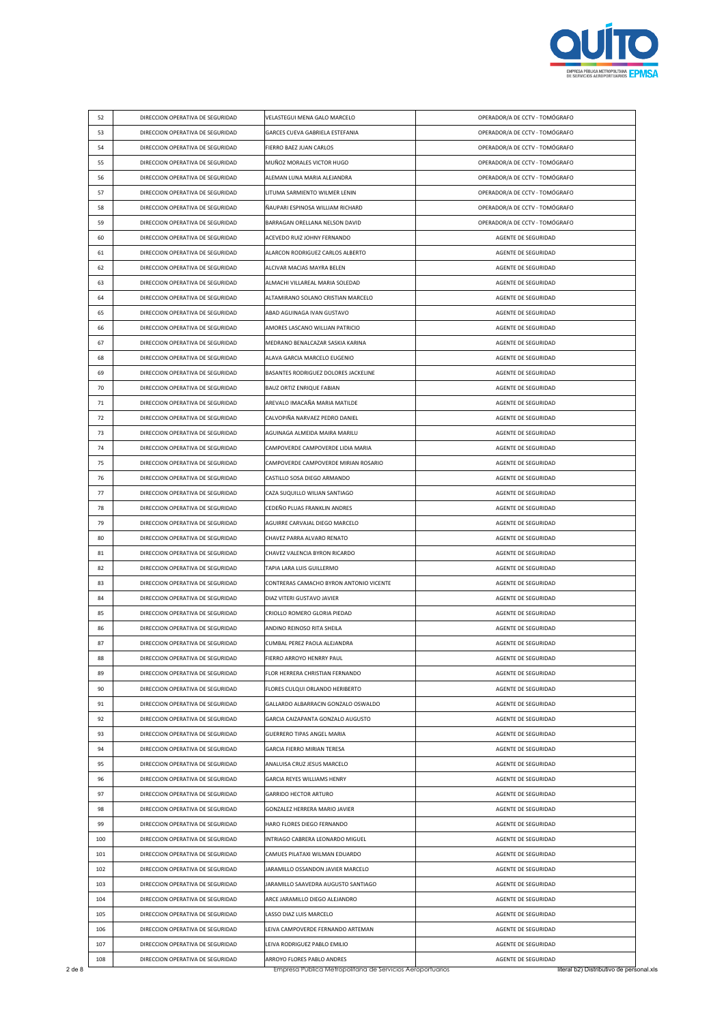

| 52  | DIRECCION OPERATIVA DE SEGURIDAD | VELASTEGUI MENA GALO MARCELO            | OPERADOR/A DE CCTV - TOMÓGRAFO |
|-----|----------------------------------|-----------------------------------------|--------------------------------|
| 53  | DIRECCION OPERATIVA DE SEGURIDAD | GARCES CUEVA GABRIELA ESTEFANIA         | OPERADOR/A DE CCTV - TOMÓGRAFO |
| 54  | DIRECCION OPERATIVA DE SEGURIDAD | FIERRO BAEZ JUAN CARLOS                 | OPERADOR/A DE CCTV - TOMÓGRAFO |
| 55  | DIRECCION OPERATIVA DE SEGURIDAD | MUÑOZ MORALES VICTOR HUGO               | OPERADOR/A DE CCTV - TOMÓGRAFO |
| 56  | DIRECCION OPERATIVA DE SEGURIDAD | ALEMAN LUNA MARIA ALEJANDRA             | OPERADOR/A DE CCTV - TOMÓGRAFO |
| 57  | DIRECCION OPERATIVA DE SEGURIDAD | LITUMA SARMIENTO WILMER LENIN           | OPERADOR/A DE CCTV - TOMÓGRAFO |
| 58  | DIRECCION OPERATIVA DE SEGURIDAD | ÑAUPARI ESPINOSA WILLIAM RICHARD        | OPERADOR/A DE CCTV - TOMÓGRAFO |
| 59  | DIRECCION OPERATIVA DE SEGURIDAD | BARRAGAN ORELLANA NELSON DAVID          | OPERADOR/A DE CCTV - TOMÓGRAFO |
| 60  | DIRECCION OPERATIVA DE SEGURIDAD | ACEVEDO RUIZ JOHNY FERNANDO             | AGENTE DE SEGURIDAD            |
| 61  | DIRECCION OPERATIVA DE SEGURIDAD | ALARCON RODRIGUEZ CARLOS ALBERTO        | AGENTE DE SEGURIDAD            |
| 62  | DIRECCION OPERATIVA DE SEGURIDAD | ALCIVAR MACIAS MAYRA BELEN              | AGENTE DE SEGURIDAD            |
| 63  | DIRECCION OPERATIVA DE SEGURIDAD | ALMACHI VILLAREAL MARIA SOLEDAD         | AGENTE DE SEGURIDAD            |
| 64  | DIRECCION OPERATIVA DE SEGURIDAD | ALTAMIRANO SOLANO CRISTIAN MARCELO      | AGENTE DE SEGURIDAD            |
| 65  | DIRECCION OPERATIVA DE SEGURIDAD | ABAD AGUINAGA IVAN GUSTAVO              | AGENTE DE SEGURIDAD            |
| 66  | DIRECCION OPERATIVA DE SEGURIDAD | AMORES LASCANO WILLIAN PATRICIO         | AGENTE DE SEGURIDAD            |
| 67  | DIRECCION OPERATIVA DE SEGURIDAD | MEDRANO BENALCAZAR SASKIA KARINA        | AGENTE DE SEGURIDAD            |
| 68  | DIRECCION OPERATIVA DE SEGURIDAD | ALAVA GARCIA MARCELO EUGENIO            | AGENTE DE SEGURIDAD            |
| 69  | DIRECCION OPERATIVA DE SEGURIDAD | BASANTES RODRIGUEZ DOLORES JACKELINE    | AGENTE DE SEGURIDAD            |
| 70  | DIRECCION OPERATIVA DE SEGURIDAD | <b>BAUZ ORTIZ ENRIQUE FABIAN</b>        | AGENTE DE SEGURIDAD            |
| 71  | DIRECCION OPERATIVA DE SEGURIDAD | AREVALO IMACAÑA MARIA MATILDE           | AGENTE DE SEGURIDAD            |
| 72  | DIRECCION OPERATIVA DE SEGURIDAD | CALVOPIÑA NARVAEZ PEDRO DANIEL          | AGENTE DE SEGURIDAD            |
| 73  | DIRECCION OPERATIVA DE SEGURIDAD | AGUINAGA ALMEIDA MAIRA MARILU           | AGENTE DE SEGURIDAD            |
| 74  | DIRECCION OPERATIVA DE SEGURIDAD | CAMPOVERDE CAMPOVERDE LIDIA MARIA       | AGENTE DE SEGURIDAD            |
| 75  | DIRECCION OPERATIVA DE SEGURIDAD | CAMPOVERDE CAMPOVERDE MIRIAN ROSARIO    | AGENTE DE SEGURIDAD            |
| 76  | DIRECCION OPERATIVA DE SEGURIDAD | CASTILLO SOSA DIEGO ARMANDO             | AGENTE DE SEGURIDAD            |
| 77  | DIRECCION OPERATIVA DE SEGURIDAD | CAZA SUQUILLO WILIAN SANTIAGO           | AGENTE DE SEGURIDAD            |
| 78  | DIRECCION OPERATIVA DE SEGURIDAD | CEDEÑO PLUAS FRANKLIN ANDRES            | AGENTE DE SEGURIDAD            |
| 79  | DIRECCION OPERATIVA DE SEGURIDAD | AGUIRRE CARVAJAL DIEGO MARCELO          | AGENTE DE SEGURIDAD            |
| 80  | DIRECCION OPERATIVA DE SEGURIDAD | CHAVEZ PARRA ALVARO RENATO              | AGENTE DE SEGURIDAD            |
| 81  | DIRECCION OPERATIVA DE SEGURIDAD | CHAVEZ VALENCIA BYRON RICARDO           | AGENTE DE SEGURIDAD            |
| 82  | DIRECCION OPERATIVA DE SEGURIDAD | TAPIA LARA LUIS GUILLERMO               | AGENTE DE SEGURIDAD            |
| 83  | DIRECCION OPERATIVA DE SEGURIDAD | CONTRERAS CAMACHO BYRON ANTONIO VICENTE | AGENTE DE SEGURIDAD            |
| 84  | DIRECCION OPERATIVA DE SEGURIDAD | DIAZ VITERI GUSTAVO JAVIER              | AGENTE DE SEGURIDAD            |
| 85  | DIRECCION OPERATIVA DE SEGURIDAD | CRIOLLO ROMERO GLORIA PIEDAD            | AGENTE DE SEGURIDAD            |
| 86  | DIRECCION OPERATIVA DE SEGURIDAD | ANDINO REINOSO RITA SHEILA              | AGENTE DE SEGURIDAD            |
| 87  | DIRECCION OPERATIVA DE SEGURIDAD | CUMBAL PEREZ PAOLA ALEJANDRA            | AGENTE DE SEGURIDAD            |
| 88  | DIRECCION OPERATIVA DE SEGURIDAD | FIERRO ARROYO HENRRY PAUL               | AGENTE DE SEGURIDAD            |
| 89  | DIRECCION OPERATIVA DE SEGURIDAD | FLOR HERRERA CHRISTIAN FERNANDO         | AGENTE DE SEGURIDAD            |
| 90  | DIRECCION OPERATIVA DE SEGURIDAD | FLORES CULQUI ORLANDO HERIBERTO         | AGENTE DE SEGURIDAD            |
| 91  | DIRECCION OPERATIVA DE SEGURIDAD | GALLARDO ALBARRACIN GONZALO OSWALDO     | AGENTE DE SEGURIDAD            |
| 92  | DIRECCION OPERATIVA DE SEGURIDAD | GARCIA CAIZAPANTA GONZALO AUGUSTO       | AGENTE DE SEGURIDAD            |
| 93  | DIRECCION OPERATIVA DE SEGURIDAD | <b>GUERRERO TIPAS ANGEL MARIA</b>       | AGENTE DE SEGURIDAD            |
| 94  | DIRECCION OPERATIVA DE SEGURIDAD | GARCIA FIERRO MIRIAN TERESA             | AGENTE DE SEGURIDAD            |
| 95  | DIRECCION OPERATIVA DE SEGURIDAD | ANALUISA CRUZ JESUS MARCELO             | AGENTE DE SEGURIDAD            |
| 96  | DIRECCION OPERATIVA DE SEGURIDAD | GARCIA REYES WILLIAMS HENRY             | AGENTE DE SEGURIDAD            |
| 97  | DIRECCION OPERATIVA DE SEGURIDAD | <b>GARRIDO HECTOR ARTURO</b>            | AGENTE DE SEGURIDAD            |
| 98  | DIRECCION OPERATIVA DE SEGURIDAD | GONZALEZ HERRERA MARIO JAVIER           | AGENTE DE SEGURIDAD            |
| 99  | DIRECCION OPERATIVA DE SEGURIDAD | HARO FLORES DIEGO FERNANDO              | AGENTE DE SEGURIDAD            |
| 100 | DIRECCION OPERATIVA DE SEGURIDAD | INTRIAGO CABRERA LEONARDO MIGUEL        | AGENTE DE SEGURIDAD            |
| 101 | DIRECCION OPERATIVA DE SEGURIDAD | CAMUES PILATAXI WILMAN EDUARDO          | AGENTE DE SEGURIDAD            |
| 102 | DIRECCION OPERATIVA DE SEGURIDAD | JARAMILLO OSSANDON JAVIER MARCELO       | AGENTE DE SEGURIDAD            |
| 103 | DIRECCION OPERATIVA DE SEGURIDAD | JARAMILLO SAAVEDRA AUGUSTO SANTIAGO     | AGENTE DE SEGURIDAD            |
| 104 | DIRECCION OPERATIVA DE SEGURIDAD | ARCE JARAMILLO DIEGO ALEJANDRO          | AGENTE DE SEGURIDAD            |
| 105 | DIRECCION OPERATIVA DE SEGURIDAD | LASSO DIAZ LUIS MARCELO                 | AGENTE DE SEGURIDAD            |
| 106 | DIRECCION OPERATIVA DE SEGURIDAD | LEIVA CAMPOVERDE FERNANDO ARTEMAN       | AGENTE DE SEGURIDAD            |
|     | DIRECCION OPERATIVA DE SEGURIDAD |                                         | AGENTE DE SEGURIDAD            |
| 107 |                                  | LEIVA RODRIGUEZ PABLO EMILIO            |                                |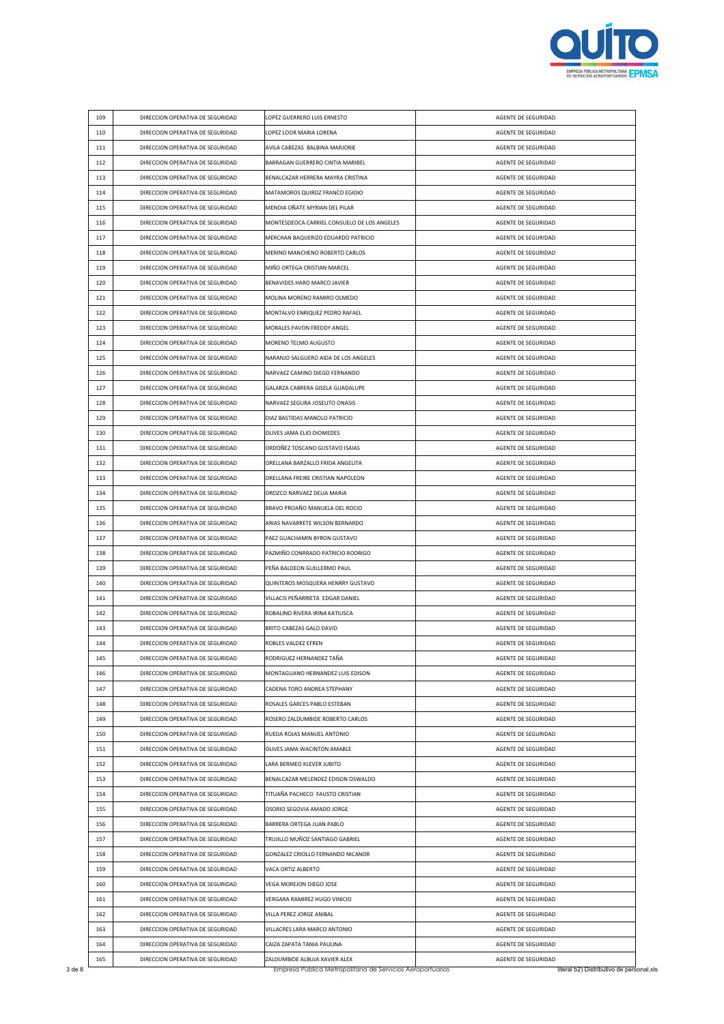

| 109 | DIRECCION OPERATIVA DE SEGURIDAD                                     | LOPEZ GUERRERO LUIS ERNESTO                                | AGENTE DE SEGURIDAD                        |
|-----|----------------------------------------------------------------------|------------------------------------------------------------|--------------------------------------------|
| 110 | DIRECCION OPERATIVA DE SEGURIDAD                                     | LOPEZ LOOR MARIA LORENA                                    | AGENTE DE SEGURIDAD                        |
| 111 | DIRECCION OPERATIVA DE SEGURIDAD                                     | AVILA CABEZAS BALBINA MARJORIE                             | AGENTE DE SEGURIDAD                        |
| 112 | DIRECCION OPERATIVA DE SEGURIDAD                                     | BARRAGAN GUERRERO CINTIA MARIBEL                           | AGENTE DE SEGURIDAD                        |
| 113 | DIRECCION OPERATIVA DE SEGURIDAD                                     | BENALCAZAR HERRERA MAYRA CRISTINA                          | AGENTE DE SEGURIDAD                        |
| 114 | DIRECCION OPERATIVA DE SEGURIDAD                                     | MATAMOROS QUIROZ FRANCO EGIDIO                             | AGENTE DE SEGURIDAD                        |
| 115 | DIRECCION OPERATIVA DE SEGURIDAD                                     | MENDIA OÑATE MYRIAN DEL PILAR                              | AGENTE DE SEGURIDAD                        |
| 116 | DIRECCION OPERATIVA DE SEGURIDAD                                     | MONTESDEOCA CARRIEL CONSUELO DE LOS ANGELES                | AGENTE DE SEGURIDAD                        |
| 117 | DIRECCION OPERATIVA DE SEGURIDAD                                     | MERCHAN BAQUERIZO EDUARDO PATRICIO                         | AGENTE DE SEGURIDAD                        |
| 118 | DIRECCION OPERATIVA DE SEGURIDAD                                     | MERINO MANCHENO ROBERTO CARLOS                             | AGENTE DE SEGURIDAD                        |
| 119 | DIRECCION OPERATIVA DE SEGURIDAD                                     | MIÑO ORTEGA CRISTIAN MARCEL                                | AGENTE DE SEGURIDAD                        |
| 120 | DIRECCION OPERATIVA DE SEGURIDAD                                     | BENAVIDES HARO MARCO JAVIER                                | AGENTE DE SEGURIDAD                        |
| 121 | DIRECCION OPERATIVA DE SEGURIDAD                                     | MOLINA MORENO RAMIRO OLMEDO                                | AGENTE DE SEGURIDAD                        |
| 122 | DIRECCION OPERATIVA DE SEGURIDAD                                     | MONTALVO ENRIQUEZ PEDRO RAFAEL                             | AGENTE DE SEGURIDAD                        |
| 123 | DIRECCION OPERATIVA DE SEGURIDAD                                     | MORALES PAVON FREDDY ANGEL                                 | AGENTE DE SEGURIDAD                        |
| 124 | DIRECCION OPERATIVA DE SEGURIDAD                                     | MORENO TELMO AUGUSTO                                       | AGENTE DE SEGURIDAD                        |
| 125 | DIRECCION OPERATIVA DE SEGURIDAD                                     | NARANJO SALGUERO AIDA DE LOS ANGELES                       | AGENTE DE SEGURIDAD                        |
| 126 | DIRECCION OPERATIVA DE SEGURIDAD                                     | NARVAEZ CAMINO DIEGO FERNANDO                              | AGENTE DE SEGURIDAD                        |
| 127 | DIRECCION OPERATIVA DE SEGURIDAD                                     | GALARZA CABRERA GISELA GUADALUPE                           | AGENTE DE SEGURIDAD                        |
| 128 | DIRECCION OPERATIVA DE SEGURIDAD                                     | NARVAEZ SEGURA JOSELITO ONASIS                             | AGENTE DE SEGURIDAD                        |
| 129 | DIRECCION OPERATIVA DE SEGURIDAD                                     | DIAZ BASTIDAS MANOLO PATRICIO                              | AGENTE DE SEGURIDAD                        |
| 130 | DIRECCION OPERATIVA DE SEGURIDAD                                     | OLIVES JAMA ELIO DIOMEDES                                  | AGENTE DE SEGURIDAD                        |
| 131 | DIRECCION OPERATIVA DE SEGURIDAD                                     | ORDOÑEZ TOSCANO GUSTAVO ISAIAS                             | AGENTE DE SEGURIDAD                        |
| 132 | DIRECCION OPERATIVA DE SEGURIDAD                                     | ORELLANA BARZALLO FRIDA ANGELITA                           | AGENTE DE SEGURIDAD                        |
| 133 | DIRECCION OPERATIVA DE SEGURIDAD                                     | ORELLANA FREIRE CRISTIAN NAPOLEON                          | AGENTE DE SEGURIDAD                        |
| 134 | DIRECCION OPERATIVA DE SEGURIDAD                                     | OROZCO NARVAEZ DELIA MARIA                                 | AGENTE DE SEGURIDAD                        |
| 135 | DIRECCION OPERATIVA DE SEGURIDAD                                     | BRAVO PROAÑO MANUELA DEL ROCIO                             | AGENTE DE SEGURIDAD                        |
| 136 | DIRECCION OPERATIVA DE SEGURIDAD                                     | ARIAS NAVARRETE WILSON BERNARDO                            | AGENTE DE SEGURIDAD                        |
| 137 | DIRECCION OPERATIVA DE SEGURIDAD                                     | PAEZ GUACHAMIN BYRON GUSTAVO                               | AGENTE DE SEGURIDAD                        |
| 138 | DIRECCION OPERATIVA DE SEGURIDAD                                     | PAZMIÑO CONRRADO PATRICIO RODRIGO                          | AGENTE DE SEGURIDAD                        |
| 139 | DIRECCION OPERATIVA DE SEGURIDAD                                     | PEÑA BALDEON GUILLERMO PAUL                                | AGENTE DE SEGURIDAD                        |
| 140 | DIRECCION OPERATIVA DE SEGURIDAD                                     | QUINTEROS MOSQUERA HENRRY GUSTAVO                          | AGENTE DE SEGURIDAD                        |
| 141 | DIRECCION OPERATIVA DE SEGURIDAD                                     | VILLACIS PEÑARRIETA EDGAR DANIEL                           | AGENTE DE SEGURIDAD                        |
| 142 | DIRECCION OPERATIVA DE SEGURIDAD                                     | ROBALINO RIVERA IRINA KATIUSCA                             | AGENTE DE SEGURIDAD                        |
| 143 | DIRECCION OPERATIVA DE SEGURIDAD                                     | BRITO CABEZAS GALO DAVID                                   | AGENTE DE SEGURIDAD                        |
| 144 | DIRECCION OPERATIVA DE SEGURIDAD                                     | ROBLES VALDEZ EFREN                                        | AGENTE DE SEGURIDAD                        |
| 145 | DIRECCION OPERATIVA DE SEGURIDAD                                     | RODRIGUEZ HERNANDEZ TANA                                   | AGENTE DE SEGURIDAD                        |
| 146 | DIRECCION OPERATIVA DE SEGURIDAD                                     | MONTAGUANO HERNANDEZ LUIS EDISON                           | AGENTE DE SEGURIDAD                        |
| 147 | DIRECCION OPERATIVA DE SEGURIDAD                                     | CADENA TORO ANDREA STEPHANY                                | AGENTE DE SEGURIDAD                        |
| 148 | DIRECCION OPERATIVA DE SEGURIDAD                                     | ROSALES GARCES PABLO ESTEBAN                               | AGENTE DE SEGURIDAD                        |
| 149 | DIRECCION OPERATIVA DE SEGURIDAD                                     | ROSERO ZALDUMBIDE ROBERTO CARLOS                           | AGENTE DE SEGURIDAD                        |
| 150 | DIRECCION OPERATIVA DE SEGURIDAD                                     | RUEDA ROJAS MANUEL ANTONIO                                 | AGENTE DE SEGURIDAD                        |
| 151 | DIRECCION OPERATIVA DE SEGURIDAD                                     | OLIVES JAMA WACINTON AMABLE                                | AGENTE DE SEGURIDAD                        |
| 152 | DIRECCION OPERATIVA DE SEGURIDAD                                     | LARA BERMEO KLEVER JUBITO                                  | AGENTE DE SEGURIDAD                        |
| 153 | DIRECCION OPERATIVA DE SEGURIDAD                                     | BENALCAZAR MELENDEZ EDISON OSWALDO                         | AGENTE DE SEGURIDAD                        |
| 154 | DIRECCION OPERATIVA DE SEGURIDAD                                     | TITUAÑA PACHECO FAUSTO CRISTIAN                            | AGENTE DE SEGURIDAD                        |
| 155 | DIRECCION OPERATIVA DE SEGURIDAD                                     | OSORIO SEGOVIA AMADO JORGE                                 | AGENTE DE SEGURIDAD                        |
| 156 | DIRECCION OPERATIVA DE SEGURIDAD                                     | BARRERA ORTEGA JUAN PABLO                                  | AGENTE DE SEGURIDAD                        |
| 157 | DIRECCION OPERATIVA DE SEGURIDAD                                     | TRUJILLO MUÑOZ SANTIAGO GABRIEL                            | AGENTE DE SEGURIDAD                        |
| 158 | DIRECCION OPERATIVA DE SEGURIDAD                                     | GONZALEZ CRIOLLO FERNANDO NICANOR                          | AGENTE DE SEGURIDAD                        |
| 159 | DIRECCION OPERATIVA DE SEGURIDAD                                     | VACA ORTIZ ALBERTO                                         | AGENTE DE SEGURIDAD                        |
| 160 | DIRECCION OPERATIVA DE SEGURIDAD                                     | VEGA MOREJON DIEGO JOSE                                    | AGENTE DE SEGURIDAD                        |
| 161 | DIRECCION OPERATIVA DE SEGURIDAD                                     | VERGARA RAMIREZ HUGO VINICIO                               | AGENTE DE SEGURIDAD                        |
| 162 |                                                                      | VILLA PEREZ JORGE ANIBAL                                   |                                            |
|     | DIRECCION OPERATIVA DE SEGURIDAD                                     |                                                            | AGENTE DE SEGURIDAD                        |
| 163 | DIRECCION OPERATIVA DE SEGURIDAD<br>DIRECCION OPERATIVA DE SEGURIDAD | VILLACRES LARA MARCO ANTONIO<br>CAIZA ZAPATA TANIA PAULINA | AGENTE DE SEGURIDAD<br>AGENTE DE SEGURIDAD |
| 164 |                                                                      |                                                            |                                            |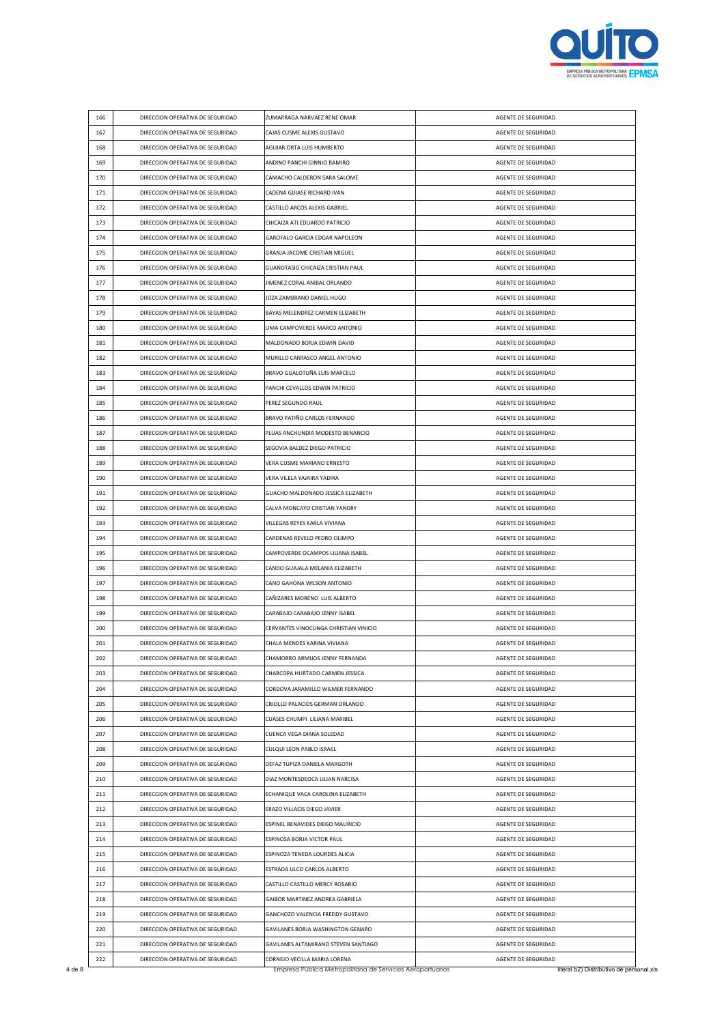

| 166 | DIRECCION OPERATIVA DE SEGURIDAD                                     | ZUMARRAGA NARVAEZ RENE OMAR           | AGENTE DE SEGURIDAD |
|-----|----------------------------------------------------------------------|---------------------------------------|---------------------|
| 167 | DIRECCION OPERATIVA DE SEGURIDAD                                     | CAJAS CUSME ALEXIS GUSTAVO            | AGENTE DE SEGURIDAD |
| 168 | DIRECCION OPERATIVA DE SEGURIDAD                                     | AGUIAR ORTA LUIS HUMBERTO             | AGENTE DE SEGURIDAD |
| 169 | DIRECCION OPERATIVA DE SEGURIDAD                                     | ANDINO PANCHI GINNIO RAMIRO           | AGENTE DE SEGURIDAD |
| 170 | DIRECCION OPERATIVA DE SEGURIDAD                                     | CAMACHO CALDERON SARA SALOME          | AGENTE DE SEGURIDAD |
| 171 | DIRECCION OPERATIVA DE SEGURIDAD                                     | CADENA GUIASE RICHARD IVAN            | AGENTE DE SEGURIDAD |
| 172 | DIRECCION OPERATIVA DE SEGURIDAD                                     | CASTILLO ARCOS ALEXIS GABRIEL         | AGENTE DE SEGURIDAD |
| 173 | DIRECCION OPERATIVA DE SEGURIDAD                                     | CHICAIZA ATI EDUARDO PATRICIO         | AGENTE DE SEGURIDAD |
| 174 | DIRECCION OPERATIVA DE SEGURIDAD                                     | GAROFALO GARCIA EDGAR NAPOLEON        | AGENTE DE SEGURIDAD |
| 175 | DIRECCION OPERATIVA DE SEGURIDAD                                     | GRANJA JACOME CRISTIAN MIGUEL         | AGENTE DE SEGURIDAD |
| 176 | DIRECCION OPERATIVA DE SEGURIDAD                                     | GUANOTASIG CHICAIZA CRISTIAN PAUL     | AGENTE DE SEGURIDAD |
| 177 | DIRECCION OPERATIVA DE SEGURIDAD                                     | JIMENEZ CORAL ANIBAL ORLANDO          | AGENTE DE SEGURIDAD |
| 178 | DIRECCION OPERATIVA DE SEGURIDAD                                     | JOZA ZAMBRANO DANIEL HUGO             | AGENTE DE SEGURIDAD |
| 179 | DIRECCION OPERATIVA DE SEGURIDAD                                     | BAYAS MELENDREZ CARMEN ELIZABETH      | AGENTE DE SEGURIDAD |
| 180 | DIRECCION OPERATIVA DE SEGURIDAD                                     | LIMA CAMPOVERDE MARCO ANTONIO         | AGENTE DE SEGURIDAD |
| 181 | DIRECCION OPERATIVA DE SEGURIDAD                                     | MALDONADO BORJA EDWIN DAVID           | AGENTE DE SEGURIDAD |
| 182 | DIRECCION OPERATIVA DE SEGURIDAD                                     | MURILLO CARRASCO ANGEL ANTONIO        | AGENTE DE SEGURIDAD |
| 183 | DIRECCION OPERATIVA DE SEGURIDAD                                     | BRAVO GUALOTUÑA LUIS MARCELO          | AGENTE DE SEGURIDAD |
| 184 | DIRECCION OPERATIVA DE SEGURIDAD                                     | PANCHI CEVALLOS EDWIN PATRICIO        | AGENTE DE SEGURIDAD |
| 185 | DIRECCION OPERATIVA DE SEGURIDAD                                     | PEREZ SEGUNDO RAUL                    | AGENTE DE SEGURIDAD |
| 186 | DIRECCION OPERATIVA DE SEGURIDAD                                     | BRAVO PATIÑO CARLOS FERNANDO          | AGENTE DE SEGURIDAD |
| 187 | DIRECCION OPERATIVA DE SEGURIDAD                                     | PLUAS ANCHUNDIA MODESTO BENANCIO      | AGENTE DE SEGURIDAD |
| 188 | DIRECCION OPERATIVA DE SEGURIDAD                                     | SEGOVIA BALDEZ DIEGO PATRICIO         | AGENTE DE SEGURIDAD |
| 189 | DIRECCION OPERATIVA DE SEGURIDAD                                     | VERA CUSME MARIANO ERNESTO            | AGENTE DE SEGURIDAD |
| 190 | DIRECCION OPERATIVA DE SEGURIDAD                                     | VERA VILELA YAJAIRA YADIRA            | AGENTE DE SEGURIDAD |
| 191 | DIRECCION OPERATIVA DE SEGURIDAD                                     | GUACHO MALDONADO JESSICA ELIZABETH    | AGENTE DE SEGURIDAD |
| 192 | DIRECCION OPERATIVA DE SEGURIDAD                                     | CALVA MONCAYO CRISTIAN YANDRY         | AGENTE DE SEGURIDAD |
| 193 | DIRECCION OPERATIVA DE SEGURIDAD                                     | VILLEGAS REYES KARLA VIVIANA          | AGENTE DE SEGURIDAD |
| 194 | DIRECCION OPERATIVA DE SEGURIDAD                                     | CARDENAS REVELO PEDRO OLIMPO          | AGENTE DE SEGURIDAD |
| 195 | DIRECCION OPERATIVA DE SEGURIDAD                                     | CAMPOVERDE OCAMPOS LILIANA ISABEL     | AGENTE DE SEGURIDAD |
| 196 | DIRECCION OPERATIVA DE SEGURIDAD                                     | CANDO GUAJALA MELANIA ELIZABETH       | AGENTE DE SEGURIDAD |
| 197 | DIRECCION OPERATIVA DE SEGURIDAD                                     | CANO GAHONA WILSON ANTONIO            | AGENTE DE SEGURIDAD |
| 198 | DIRECCION OPERATIVA DE SEGURIDAD                                     | CAÑIZARES MORENO LUIS ALBERTO         | AGENTE DE SEGURIDAD |
| 199 | DIRECCION OPERATIVA DE SEGURIDAD                                     | CARABAJO CARABAJO JENNY ISABEL        | AGENTE DE SEGURIDAD |
| 200 | DIRECCION OPERATIVA DE SEGURIDAD                                     | CERVANTES VINOCUNGA CHRISTIAN VINICIO | AGENTE DE SEGURIDAD |
| 201 | DIRECCION OPERATIVA DE SEGURIDAD                                     | CHALA MENDES KARINA VIVIANA           | AGENTE DE SEGURIDAD |
| 202 | DIRECCION OPERATIVA DE SEGURIDAD                                     | CHAMORRO ARMIJOS JENNY FERNANDA       | AGENTE DE SEGURIDAD |
| 203 | DIRECCION OPERATIVA DE SEGURIDAD                                     | CHARCOPA HURTADO CARMEN JESSICA       | AGENTE DE SEGURIDAD |
| 204 | DIRECCION OPERATIVA DE SEGURIDAD                                     | CORDOVA JARAMILLO WILMER FERNANDO     | AGENTE DE SEGURIDAD |
| 205 | DIRECCION OPERATIVA DE SEGURIDAD                                     | CRIOLLO PALACIOS GERMAN ORLANDO       | AGENTE DE SEGURIDAD |
| 206 | DIRECCION OPERATIVA DE SEGURIDAD                                     | CUASES CHUMPI LILIANA MARIBEL         | AGENTE DE SEGURIDAD |
| 207 | DIRECCION OPERATIVA DE SEGURIDAD                                     | CUENCA VEGA DIANA SOLEDAD             | AGENTE DE SEGURIDAD |
| 208 | DIRECCION OPERATIVA DE SEGURIDAD                                     | CULQUI LEON PABLO ISRAEL              | AGENTE DE SEGURIDAD |
| 209 | DIRECCION OPERATIVA DE SEGURIDAD                                     | DEFAZ TUPIZA DANIELA MARGOTH          | AGENTE DE SEGURIDAD |
| 210 | DIRECCION OPERATIVA DE SEGURIDAD                                     | DIAZ MONTESDEOCA LILIAN NARCISA       | AGENTE DE SEGURIDAD |
| 211 | DIRECCION OPERATIVA DE SEGURIDAD                                     | ECHANIQUE VACA CAROLINA ELIZABETH     | AGENTE DE SEGURIDAD |
| 212 | DIRECCION OPERATIVA DE SEGURIDAD                                     | ERAZO VILLACIS DIEGO JAVIER           | AGENTE DE SEGURIDAD |
| 213 | DIRECCION OPERATIVA DE SEGURIDAD                                     | ESPINEL BENAVIDES DIEGO MAURICIO      | AGENTE DE SEGURIDAD |
| 214 | DIRECCION OPERATIVA DE SEGURIDAD                                     | ESPINOSA BORJA VICTOR PAUL            | AGENTE DE SEGURIDAD |
| 215 |                                                                      |                                       |                     |
|     | DIRECCION OPERATIVA DE SEGURIDAD                                     | ESPINOZA TENEDA LOURDES ALICIA        | AGENTE DE SEGURIDAD |
| 216 | DIRECCION OPERATIVA DE SEGURIDAD                                     | ESTRADA ULCO CARLOS ALBERTO           | AGENTE DE SEGURIDAD |
| 217 | DIRECCION OPERATIVA DE SEGURIDAD                                     | CASTILLO CASTILLO MERCY ROSARIO       | AGENTE DE SEGURIDAD |
| 218 | DIRECCION OPERATIVA DE SEGURIDAD                                     | GAIBOR MARTINEZ ANDREA GABRIELA       | AGENTE DE SEGURIDAD |
| 219 | DIRECCION OPERATIVA DE SEGURIDAD                                     | GANCHOZO VALENCIA FREDDY GUSTAVO      | AGENTE DE SEGURIDAD |
| 220 | DIRECCION OPERATIVA DE SEGURIDAD<br>DIRECCION OPERATIVA DE SEGURIDAD | GAVILANES BORJA WASHINGTON GENARO     | AGENTE DE SEGURIDAD |
| 221 |                                                                      | GAVILANES ALTAMIRANO STEVEN SANTIAGO  | AGENTE DE SEGURIDAD |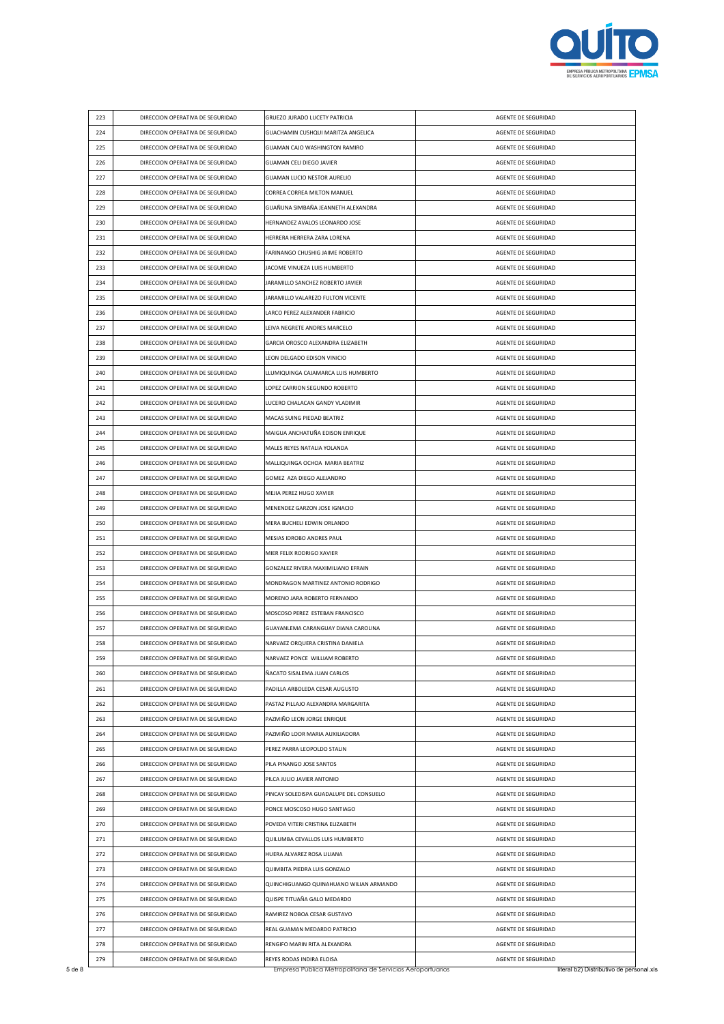

| 223 | DIRECCION OPERATIVA DE SEGURIDAD | GRUEZO JURADO LUCETY PATRICIA           | AGENTE DE SEGURIDAD |
|-----|----------------------------------|-----------------------------------------|---------------------|
| 224 | DIRECCION OPERATIVA DE SEGURIDAD | GUACHAMIN CUSHQUI MARITZA ANGELICA      | AGENTE DE SEGURIDAD |
| 225 | DIRECCION OPERATIVA DE SEGURIDAD | GUAMAN CAJO WASHINGTON RAMIRO           | AGENTE DE SEGURIDAD |
| 226 | DIRECCION OPERATIVA DE SEGURIDAD | GUAMAN CELI DIEGO JAVIER                | AGENTE DE SEGURIDAD |
| 227 | DIRECCION OPERATIVA DE SEGURIDAD | GUAMAN LUCIO NESTOR AURELIO             | AGENTE DE SEGURIDAD |
| 228 | DIRECCION OPERATIVA DE SEGURIDAD | CORREA CORREA MILTON MANUEL             | AGENTE DE SEGURIDAD |
| 229 | DIRECCION OPERATIVA DE SEGURIDAD | GUAÑUNA SIMBAÑA JEANNETH ALEXANDRA      | AGENTE DE SEGURIDAD |
| 230 | DIRECCION OPERATIVA DE SEGURIDAD | HERNANDEZ AVALOS LEONARDO JOSE          | AGENTE DE SEGURIDAD |
| 231 | DIRECCION OPERATIVA DE SEGURIDAD | HERRERA HERRERA ZARA LORENA             | AGENTE DE SEGURIDAD |
| 232 | DIRECCION OPERATIVA DE SEGURIDAD | FARINANGO CHUSHIG JAIME ROBERTO         | AGENTE DE SEGURIDAD |
| 233 | DIRECCION OPERATIVA DE SEGURIDAD | JACOME VINUEZA LUIS HUMBERTO            | AGENTE DE SEGURIDAD |
| 234 | DIRECCION OPERATIVA DE SEGURIDAD | JARAMILLO SANCHEZ ROBERTO JAVIER        | AGENTE DE SEGURIDAD |
| 235 | DIRECCION OPERATIVA DE SEGURIDAD | JARAMILLO VALAREZO FULTON VICENTE       | AGENTE DE SEGURIDAD |
| 236 | DIRECCION OPERATIVA DE SEGURIDAD | LARCO PEREZ ALEXANDER FABRICIO          | AGENTE DE SEGURIDAD |
| 237 | DIRECCION OPERATIVA DE SEGURIDAD | LEIVA NEGRETE ANDRES MARCELO            | AGENTE DE SEGURIDAD |
| 238 | DIRECCION OPERATIVA DE SEGURIDAD | GARCIA OROSCO ALEXANDRA ELIZABETH       | AGENTE DE SEGURIDAD |
| 239 | DIRECCION OPERATIVA DE SEGURIDAD | LEON DELGADO EDISON VINICIO             | AGENTE DE SEGURIDAD |
| 240 | DIRECCION OPERATIVA DE SEGURIDAD | LLUMIQUINGA CAJAMARCA LUIS HUMBERTO     | AGENTE DE SEGURIDAD |
| 241 | DIRECCION OPERATIVA DE SEGURIDAD | LOPEZ CARRION SEGUNDO ROBERTO           | AGENTE DE SEGURIDAD |
| 242 | DIRECCION OPERATIVA DE SEGURIDAD | LUCERO CHALACAN GANDY VLADIMIR          | AGENTE DE SEGURIDAD |
| 243 | DIRECCION OPERATIVA DE SEGURIDAD | MACAS SUING PIEDAD BEATRIZ              | AGENTE DE SEGURIDAD |
| 244 | DIRECCION OPERATIVA DE SEGURIDAD | MAIGUA ANCHATUÑA EDISON ENRIQUE         | AGENTE DE SEGURIDAD |
| 245 | DIRECCION OPERATIVA DE SEGURIDAD | MALES REYES NATALIA YOLANDA             | AGENTE DE SEGURIDAD |
| 246 | DIRECCION OPERATIVA DE SEGURIDAD | MALLIQUINGA OCHOA MARIA BEATRIZ         | AGENTE DE SEGURIDAD |
| 247 | DIRECCION OPERATIVA DE SEGURIDAD | GOMEZ AZA DIEGO ALEJANDRO               | AGENTE DE SEGURIDAD |
| 248 | DIRECCION OPERATIVA DE SEGURIDAD | MEJIA PEREZ HUGO XAVIER                 | AGENTE DE SEGURIDAD |
| 249 | DIRECCION OPERATIVA DE SEGURIDAD | MENENDEZ GARZON JOSE IGNACIO            | AGENTE DE SEGURIDAD |
| 250 | DIRECCION OPERATIVA DE SEGURIDAD | MERA BUCHELI EDWIN ORLANDO              | AGENTE DE SEGURIDAD |
| 251 | DIRECCION OPERATIVA DE SEGURIDAD | MESIAS IDROBO ANDRES PAUL               | AGENTE DE SEGURIDAD |
| 252 | DIRECCION OPERATIVA DE SEGURIDAD | MIER FELIX RODRIGO XAVIER               | AGENTE DE SEGURIDAD |
| 253 | DIRECCION OPERATIVA DE SEGURIDAD | GONZALEZ RIVERA MAXIMILIANO EFRAIN      | AGENTE DE SEGURIDAD |
| 254 | DIRECCION OPERATIVA DE SEGURIDAD | MONDRAGON MARTINEZ ANTONIO RODRIGO      | AGENTE DE SEGURIDAD |
| 255 | DIRECCION OPERATIVA DE SEGURIDAD | MORENO JARA ROBERTO FERNANDO            | AGENTE DE SEGURIDAD |
| 256 | DIRECCION OPERATIVA DE SEGURIDAD | MOSCOSO PEREZ ESTEBAN FRANCISCO         | AGENTE DE SEGURIDAD |
| 257 | DIRECCION OPERATIVA DE SEGURIDAD | GUAYANLEMA CARANGUAY DIANA CAROLINA     | AGENTE DE SEGURIDAD |
| 258 | DIRECCION OPERATIVA DE SEGURIDAD | NARVAEZ ORQUERA CRISTINA DANIELA        | AGENTE DE SEGURIDAD |
| 259 | DIRECCION OPERATIVA DE SEGURIDAD | NARVAEZ PONCE WILLIAM ROBERTO           | AGENTE DE SEGURIDAD |
| 260 | DIRECCION OPERATIVA DE SEGURIDAD | ÑACATO SISALEMA JUAN CARLOS             | AGENTE DE SEGURIDAD |
| 261 | DIRECCION OPERATIVA DE SEGURIDAD | PADILLA ARBOLEDA CESAR AUGUSTO          | AGENTE DE SEGURIDAD |
| 262 | DIRECCION OPERATIVA DE SEGURIDAD | PASTAZ PILLAJO ALEXANDRA MARGARITA      | AGENTE DE SEGURIDAD |
| 263 | DIRECCION OPERATIVA DE SEGURIDAD | PAZMIÑO LEON JORGE ENRIQUE              | AGENTE DE SEGURIDAD |
| 264 | DIRECCION OPERATIVA DE SEGURIDAD | PAZMIÑO LOOR MARIA AUXILIADORA          | AGENTE DE SEGURIDAD |
| 265 | DIRECCION OPERATIVA DE SEGURIDAD | PEREZ PARRA LEOPOLDO STALIN             | AGENTE DE SEGURIDAD |
| 266 | DIRECCION OPERATIVA DE SEGURIDAD | PILA PINANGO JOSE SANTOS                | AGENTE DE SEGURIDAD |
| 267 | DIRECCION OPERATIVA DE SEGURIDAD | PILCA JULIO JAVIER ANTONIO              | AGENTE DE SEGURIDAD |
| 268 | DIRECCION OPERATIVA DE SEGURIDAD | PINCAY SOLEDISPA GUADALUPE DEL CONSUELO | AGENTE DE SEGURIDAD |
| 269 | DIRECCION OPERATIVA DE SEGURIDAD | PONCE MOSCOSO HUGO SANTIAGO             | AGENTE DE SEGURIDAD |
| 270 | DIRECCION OPERATIVA DE SEGURIDAD | POVEDA VITERI CRISTINA ELIZABETH        | AGENTE DE SEGURIDAD |
| 271 | DIRECCION OPERATIVA DE SEGURIDAD | QUILUMBA CEVALLOS LUIS HUMBERTO         | AGENTE DE SEGURIDAD |
| 272 | DIRECCION OPERATIVA DE SEGURIDAD | HUERA ALVAREZ ROSA LILIANA              | AGENTE DE SEGURIDAD |
| 273 | DIRECCION OPERATIVA DE SEGURIDAD | QUIMBITA PIEDRA LUIS GONZALO            | AGENTE DE SEGURIDAD |
| 274 | DIRECCION OPERATIVA DE SEGURIDAD | QUINCHIGUANGO QUINAHUANO WILIAN ARMANDO | AGENTE DE SEGURIDAD |
| 275 | DIRECCION OPERATIVA DE SEGURIDAD | QUISPE TITUAÑA GALO MEDARDO             | AGENTE DE SEGURIDAD |
| 276 | DIRECCION OPERATIVA DE SEGURIDAD | RAMIREZ NOBOA CESAR GUSTAVO             | AGENTE DE SEGURIDAD |
| 277 | DIRECCION OPERATIVA DE SEGURIDAD | REAL GUAMAN MEDARDO PATRICIO            | AGENTE DE SEGURIDAD |
| 278 | DIRECCION OPERATIVA DE SEGURIDAD | RENGIFO MARIN RITA ALEXANDRA            | AGENTE DE SEGURIDAD |
|     |                                  |                                         |                     |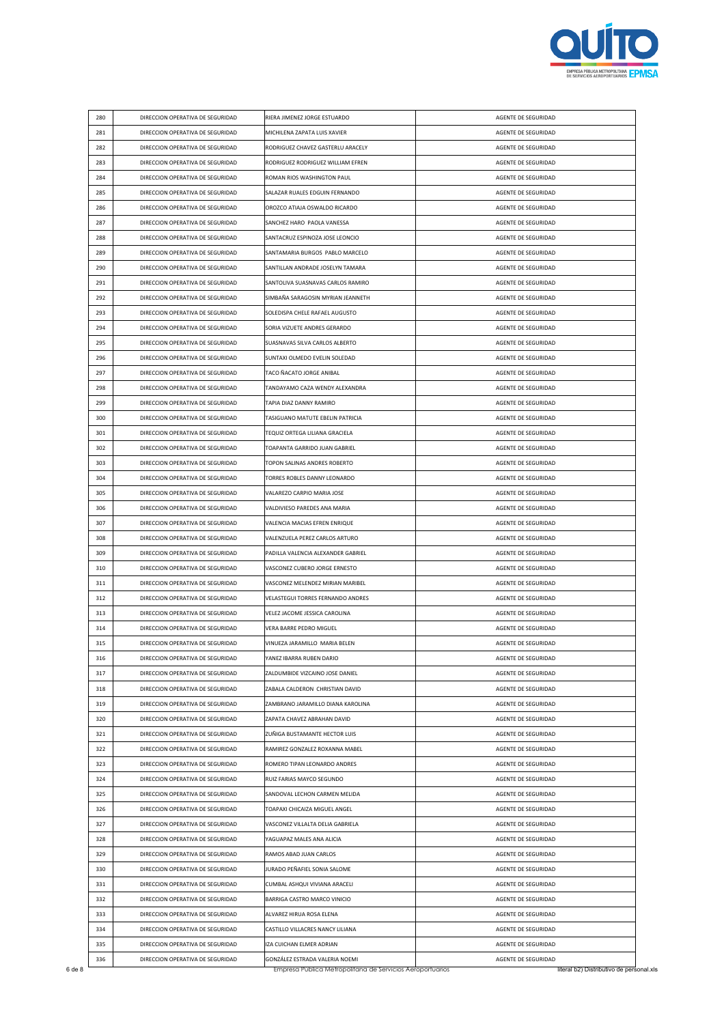

| 280 | DIRECCION OPERATIVA DE SEGURIDAD                                     | RIERA JIMENEZ JORGE ESTUARDO       | AGENTE DE SEGURIDAD                        |
|-----|----------------------------------------------------------------------|------------------------------------|--------------------------------------------|
| 281 | DIRECCION OPERATIVA DE SEGURIDAD                                     | MICHILENA ZAPATA LUIS XAVIER       | AGENTE DE SEGURIDAD                        |
| 282 | DIRECCION OPERATIVA DE SEGURIDAD                                     | RODRIGUEZ CHAVEZ GASTERLU ARACELY  | AGENTE DE SEGURIDAD                        |
| 283 | DIRECCION OPERATIVA DE SEGURIDAD                                     | RODRIGUEZ RODRIGUEZ WILLIAM EFREN  | AGENTE DE SEGURIDAD                        |
| 284 | DIRECCION OPERATIVA DE SEGURIDAD                                     | ROMAN RIOS WASHINGTON PAUL         | AGENTE DE SEGURIDAD                        |
| 285 | DIRECCION OPERATIVA DE SEGURIDAD                                     | SALAZAR RUALES EDGUIN FERNANDO     | AGENTE DE SEGURIDAD                        |
| 286 | DIRECCION OPERATIVA DE SEGURIDAD                                     | OROZCO ATIAJA OSWALDO RICARDO      | AGENTE DE SEGURIDAD                        |
| 287 | DIRECCION OPERATIVA DE SEGURIDAD                                     | SANCHEZ HARO PAOLA VANESSA         | AGENTE DE SEGURIDAD                        |
| 288 | DIRECCION OPERATIVA DE SEGURIDAD                                     | SANTACRUZ ESPINOZA JOSE LEONCIO    | AGENTE DE SEGURIDAD                        |
| 289 | DIRECCION OPERATIVA DE SEGURIDAD                                     | SANTAMARIA BURGOS PABLO MARCELO    | AGENTE DE SEGURIDAD                        |
| 290 | DIRECCION OPERATIVA DE SEGURIDAD                                     | SANTILLAN ANDRADE JOSELYN TAMARA   | AGENTE DE SEGURIDAD                        |
| 291 | DIRECCION OPERATIVA DE SEGURIDAD                                     | SANTOLIVA SUASNAVAS CARLOS RAMIRO  | AGENTE DE SEGURIDAD                        |
| 292 | DIRECCION OPERATIVA DE SEGURIDAD                                     | SIMBAÑA SARAGOSIN MYRIAN JEANNETH  | AGENTE DE SEGURIDAD                        |
| 293 | DIRECCION OPERATIVA DE SEGURIDAD                                     | SOLEDISPA CHELE RAFAEL AUGUSTO     | AGENTE DE SEGURIDAD                        |
| 294 | DIRECCION OPERATIVA DE SEGURIDAD                                     | SORIA VIZUETE ANDRES GERARDO       | AGENTE DE SEGURIDAD                        |
| 295 | DIRECCION OPERATIVA DE SEGURIDAD                                     | SUASNAVAS SILVA CARLOS ALBERTO     | AGENTE DE SEGURIDAD                        |
| 296 | DIRECCION OPERATIVA DE SEGURIDAD                                     | SUNTAXI OLMEDO EVELIN SOLEDAD      | AGENTE DE SEGURIDAD                        |
| 297 | DIRECCION OPERATIVA DE SEGURIDAD                                     | TACO ÑACATO JORGE ANIBAL           | AGENTE DE SEGURIDAD                        |
| 298 | DIRECCION OPERATIVA DE SEGURIDAD                                     | TANDAYAMO CAZA WENDY ALEXANDRA     | AGENTE DE SEGURIDAD                        |
| 299 | DIRECCION OPERATIVA DE SEGURIDAD                                     | TAPIA DIAZ DANNY RAMIRO            | AGENTE DE SEGURIDAD                        |
| 300 | DIRECCION OPERATIVA DE SEGURIDAD                                     | TASIGUANO MATUTE EBELIN PATRICIA   | AGENTE DE SEGURIDAD                        |
| 301 | DIRECCION OPERATIVA DE SEGURIDAD                                     | TEQUIZ ORTEGA LILIANA GRACIELA     | AGENTE DE SEGURIDAD                        |
| 302 | DIRECCION OPERATIVA DE SEGURIDAD                                     | TOAPANTA GARRIDO JUAN GABRIEL      | AGENTE DE SEGURIDAD                        |
| 303 | DIRECCION OPERATIVA DE SEGURIDAD                                     | TOPON SALINAS ANDRES ROBERTO       | AGENTE DE SEGURIDAD                        |
| 304 | DIRECCION OPERATIVA DE SEGURIDAD                                     | TORRES ROBLES DANNY LEONARDO       | AGENTE DE SEGURIDAD                        |
| 305 |                                                                      | VALAREZO CARPIO MARIA JOSE         | AGENTE DE SEGURIDAD                        |
| 306 | DIRECCION OPERATIVA DE SEGURIDAD<br>DIRECCION OPERATIVA DE SEGURIDAD | VALDIVIESO PAREDES ANA MARIA       | AGENTE DE SEGURIDAD                        |
| 307 |                                                                      |                                    |                                            |
|     | DIRECCION OPERATIVA DE SEGURIDAD                                     | VALENCIA MACIAS EFREN ENRIQUE      | AGENTE DE SEGURIDAD<br>AGENTE DE SEGURIDAD |
| 308 | DIRECCION OPERATIVA DE SEGURIDAD                                     | VALENZUELA PEREZ CARLOS ARTURO     |                                            |
| 309 | DIRECCION OPERATIVA DE SEGURIDAD                                     | PADILLA VALENCIA ALEXANDER GABRIEL | AGENTE DE SEGURIDAD                        |
| 310 | DIRECCION OPERATIVA DE SEGURIDAD                                     | VASCONEZ CUBERO JORGE ERNESTO      | AGENTE DE SEGURIDAD                        |
| 311 | DIRECCION OPERATIVA DE SEGURIDAD                                     | VASCONEZ MELENDEZ MIRIAN MARIBEL   | AGENTE DE SEGURIDAD                        |
| 312 | DIRECCION OPERATIVA DE SEGURIDAD<br>DIRECCION OPERATIVA DE SEGURIDAD | VELASTEGUI TORRES FERNANDO ANDRES  | AGENTE DE SEGURIDAD                        |
| 313 |                                                                      | VELEZ JACOME JESSICA CAROLINA      | AGENTE DE SEGURIDAD                        |
| 314 | DIRECCION OPERATIVA DE SEGURIDAD                                     | VERA BARRE PEDRO MIGUEL            | AGENTE DE SEGURIDAD                        |
| 315 | DIRECCION OPERATIVA DE SEGURIDAD                                     | VINUEZA JARAMILLO MARIA BELEN      | AGENTE DE SEGURIDAD                        |
| 316 | DIRECCION OPERATIVA DE SEGURIDAD                                     | YANEZ IBARRA RUBEN DARIO           | AGENTE DE SEGURIDAD                        |
| 317 | DIRECCION OPERATIVA DE SEGURIDAD                                     | ZALDUMBIDE VIZCAINO JOSE DANIEL    | AGENTE DE SEGURIDAD                        |
| 318 | DIRECCION OPERATIVA DE SEGURIDAD                                     | ZABALA CALDERON CHRISTIAN DAVID    | AGENTE DE SEGURIDAD                        |
| 319 | DIRECCION OPERATIVA DE SEGURIDAD                                     | ZAMBRANO JARAMILLO DIANA KAROLINA  | AGENTE DE SEGURIDAD                        |
| 320 | DIRECCION OPERATIVA DE SEGURIDAD                                     | ZAPATA CHAVEZ ABRAHAN DAVID        | AGENTE DE SEGURIDAD                        |
| 321 | DIRECCION OPERATIVA DE SEGURIDAD                                     | ZUÑIGA BUSTAMANTE HECTOR LUIS      | AGENTE DE SEGURIDAD                        |
| 322 | DIRECCION OPERATIVA DE SEGURIDAD                                     | RAMIREZ GONZALEZ ROXANNA MABEL     | AGENTE DE SEGURIDAD                        |
| 323 | DIRECCION OPERATIVA DE SEGURIDAD                                     | ROMERO TIPAN LEONARDO ANDRES       | AGENTE DE SEGURIDAD                        |
| 324 | DIRECCION OPERATIVA DE SEGURIDAD                                     | RUIZ FARIAS MAYCO SEGUNDO          | AGENTE DE SEGURIDAD                        |
| 325 | DIRECCION OPERATIVA DE SEGURIDAD                                     | SANDOVAL LECHON CARMEN MELIDA      | AGENTE DE SEGURIDAD                        |
| 326 | DIRECCION OPERATIVA DE SEGURIDAD                                     | TOAPAXI CHICAIZA MIGUEL ANGEL      | AGENTE DE SEGURIDAD                        |
| 327 | DIRECCION OPERATIVA DE SEGURIDAD                                     | VASCONEZ VILLALTA DELIA GABRIELA   | AGENTE DE SEGURIDAD                        |
| 328 | DIRECCION OPERATIVA DE SEGURIDAD                                     | YAGUAPAZ MALES ANA ALICIA          | AGENTE DE SEGURIDAD                        |
| 329 | DIRECCION OPERATIVA DE SEGURIDAD                                     | RAMOS ABAD JUAN CARLOS             | AGENTE DE SEGURIDAD                        |
| 330 | DIRECCION OPERATIVA DE SEGURIDAD                                     | JURADO PEÑAFIEL SONIA SALOME       | AGENTE DE SEGURIDAD                        |
| 331 | DIRECCION OPERATIVA DE SEGURIDAD                                     | CUMBAL ASHQUI VIVIANA ARACELI      | AGENTE DE SEGURIDAD                        |
| 332 | DIRECCION OPERATIVA DE SEGURIDAD                                     | BARRIGA CASTRO MARCO VINICIO       | AGENTE DE SEGURIDAD                        |
|     |                                                                      | ALVAREZ HIRUA ROSA ELENA           | AGENTE DE SEGURIDAD                        |
| 333 | DIRECCION OPERATIVA DE SEGURIDAD                                     |                                    |                                            |
| 334 | DIRECCION OPERATIVA DE SEGURIDAD                                     | CASTILLO VILLACRES NANCY LILIANA   | AGENTE DE SEGURIDAD                        |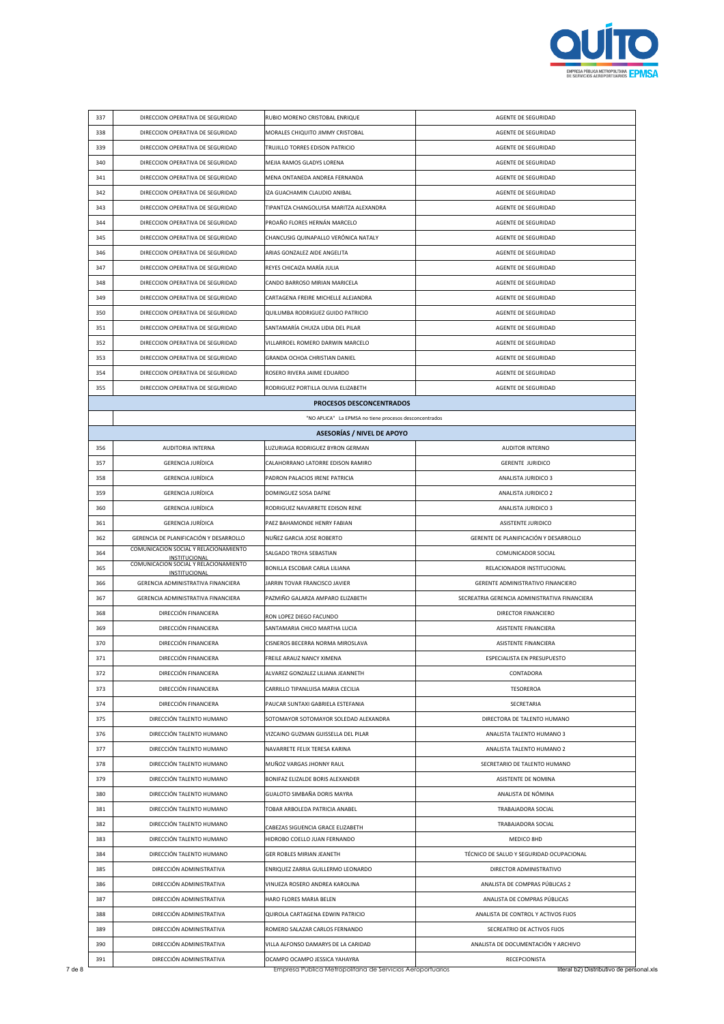

| 337        | DIRECCION OPERATIVA DE SEGURIDAD                       | RUBIO MORENO CRISTOBAL ENRIQUE                                        | AGENTE DE SEGURIDAD                                                |
|------------|--------------------------------------------------------|-----------------------------------------------------------------------|--------------------------------------------------------------------|
| 338        | DIRECCION OPERATIVA DE SEGURIDAD                       | MORALES CHIQUITO JIMMY CRISTOBAL                                      | AGENTE DE SEGURIDAD                                                |
| 339        | DIRECCION OPERATIVA DE SEGURIDAD                       | TRUJILLO TORRES EDISON PATRICIO                                       | AGENTE DE SEGURIDAD                                                |
| 340        | DIRECCION OPERATIVA DE SEGURIDAD                       | MEJIA RAMOS GLADYS LORENA                                             | AGENTE DE SEGURIDAD                                                |
| 341        | DIRECCION OPERATIVA DE SEGURIDAD                       | MENA ONTANEDA ANDREA FERNANDA                                         | AGENTE DE SEGURIDAD                                                |
| 342        | DIRECCION OPERATIVA DE SEGURIDAD                       | IZA GUACHAMIN CLAUDIO ANIBAL                                          | AGENTE DE SEGURIDAD                                                |
| 343        | DIRECCION OPERATIVA DE SEGURIDAD                       | TIPANTIZA CHANGOLUISA MARITZA ALEXANDRA                               | AGENTE DE SEGURIDAD                                                |
| 344        | DIRECCION OPERATIVA DE SEGURIDAD                       | PROAÑO FLORES HERNÁN MARCELO                                          | AGENTE DE SEGURIDAD                                                |
| 345        | DIRECCION OPERATIVA DE SEGURIDAD                       | CHANCUSIG QUINAPALLO VERÓNICA NATALY                                  | AGENTE DE SEGURIDAD                                                |
| 346        | DIRECCION OPERATIVA DE SEGURIDAD                       | ARIAS GONZALEZ AIDE ANGELITA                                          | AGENTE DE SEGURIDAD                                                |
| 347        | DIRECCION OPERATIVA DE SEGURIDAD                       | REYES CHICAIZA MARÍA JULIA                                            | AGENTE DE SEGURIDAD                                                |
| 348        | DIRECCION OPERATIVA DE SEGURIDAD                       | CANDO BARROSO MIRIAN MARICELA                                         | AGENTE DE SEGURIDAD                                                |
| 349        | DIRECCION OPERATIVA DE SEGURIDAD                       | CARTAGENA FREIRE MICHELLE ALEJANDRA                                   | AGENTE DE SEGURIDAD                                                |
| 350        | DIRECCION OPERATIVA DE SEGURIDAD                       | QUILUMBA RODRIGUEZ GUIDO PATRICIO                                     | AGENTE DE SEGURIDAD                                                |
| 351        | DIRECCION OPERATIVA DE SEGURIDAD                       | SANTAMARÍA CHUIZA LIDIA DEL PILAR                                     | AGENTE DE SEGURIDAD                                                |
| 352        | DIRECCION OPERATIVA DE SEGURIDAD                       | VILLARROEL ROMERO DARWIN MARCELO                                      | AGENTE DE SEGURIDAD                                                |
| 353        | DIRECCION OPERATIVA DE SEGURIDAD                       | GRANDA OCHOA CHRISTIAN DANIEL                                         | AGENTE DE SEGURIDAD                                                |
| 354        | DIRECCION OPERATIVA DE SEGURIDAD                       | ROSERO RIVERA JAIME EDUARDO                                           | AGENTE DE SEGURIDAD                                                |
| 355        | DIRECCION OPERATIVA DE SEGURIDAD                       | RODRIGUEZ PORTILLA OLIVIA ELIZABETH                                   | AGENTE DE SEGURIDAD                                                |
|            |                                                        | PROCESOS DESCONCENTRADOS                                              |                                                                    |
|            |                                                        | "NO APLICA" La EPMSA no tiene procesos desconcentrados                |                                                                    |
|            |                                                        | <b>ASESORÍAS / NIVEL DE APOYO</b>                                     |                                                                    |
| 356        | <b>AUDITORIA INTERNA</b>                               | LUZURIAGA RODRIGUEZ BYRON GERMAN                                      | AUDITOR INTERNO                                                    |
| 357        | <b>GERENCIA JURÍDICA</b>                               | CALAHORRANO LATORRE EDISON RAMIRO                                     | <b>GERENTE JURIDICO</b>                                            |
| 358        | <b>GERENCIA JURÍDICA</b>                               | PADRON PALACIOS IRENE PATRICIA                                        | ANALISTA JURIDICO 3                                                |
| 359        | <b>GERENCIA JURÍDICA</b>                               | DOMINGUEZ SOSA DAFNE                                                  | ANALISTA JURIDICO 2                                                |
| 360        | GERENCIA JURÍDICA                                      | RODRIGUEZ NAVARRETE EDISON RENE                                       | ANALISTA JURIDICO 3                                                |
| 361        | GERENCIA JURÍDICA                                      | PAEZ BAHAMONDE HENRY FABIAN                                           | ASISTENTE JURIDICO                                                 |
| 362        | GERENCIA DE PLANIFICACIÓN Y DESARROLLO                 | NUÑEZ GARCIA JOSE ROBERTO                                             | GERENTE DE PLANIFICACIÓN Y DESARROLLO                              |
| 364        | COMUNICACION SOCIAL Y RELACIONAMIENTO                  | SALGADO TROYA SEBASTIAN                                               | COMUNICADOR SOCIAL                                                 |
| 365        | INSTITUCIONAL<br>COMUNICACION SOCIAL Y RELACIONAMIENTO | BONILLA ESCOBAR CARLA LILIANA                                         | RELACIONADOR INSTITUCIONAL                                         |
| 366        | INSTITUCIONAL<br>GERENCIA ADMINISTRATIVA FINANCIERA    | JARRIN TOVAR FRANCISCO JAVIER                                         | GERENTE ADMINISTRATIVO FINANCIERO                                  |
| 367        | GERENCIA ADMINISTRATIVA FINANCIERA                     | PAZMIÑO GALARZA AMPARO ELIZABETH                                      | SECREATRIA GERENCIA ADMINISTRATIVA FINANCIERA                      |
| 368        | DIRECCIÓN FINANCIERA                                   |                                                                       | DIRECTOR FINANCIERO                                                |
| 369        | DIRECCIÓN FINANCIERA                                   | RON LOPEZ DIEGO FACUNDO<br>SANTAMARIA CHICO MARTHA LUCIA              | ASISTENTE FINANCIERA                                               |
| 370        | DIRECCIÓN FINANCIERA                                   | CISNEROS BECERRA NORMA MIROSLAVA                                      | ASISTENTE FINANCIERA                                               |
| 371        | DIRECCIÓN FINANCIERA                                   | FREILE ARAUZ NANCY XIMENA                                             | ESPECIALISTA EN PRESUPUESTO                                        |
| 372        | DIRECCIÓN FINANCIERA                                   | ALVAREZ GONZALEZ LILIANA JEANNETH                                     | CONTADORA                                                          |
| 373        |                                                        |                                                                       |                                                                    |
| 374        | DIRECCIÓN FINANCIERA                                   | CARRILLO TIPANLUISA MARIA CECILIA                                     | <b>TESOREROA</b>                                                   |
|            | DIRECCIÓN FINANCIERA                                   | PAUCAR SUNTAXI GABRIELA ESTEFANIA                                     | SECRETARIA                                                         |
| 375        | DIRECCIÓN TALENTO HUMANO                               | SOTOMAYOR SOTOMAYOR SOLEDAD ALEXANDRA                                 | DIRECTORA DE TALENTO HUMANO                                        |
| 376        | DIRECCIÓN TALENTO HUMANO                               | VIZCAINO GUZMAN GUISSELLA DEL PILAR                                   | ANALISTA TALENTO HUMANO 3                                          |
| 377        | DIRECCIÓN TALENTO HUMANO                               | NAVARRETE FELIX TERESA KARINA                                         | ANALISTA TALENTO HUMANO 2                                          |
| 378        | DIRECCIÓN TALENTO HUMANO                               | MUÑOZ VARGAS JHONNY RAUL                                              | SECRETARIO DE TALENTO HUMANO                                       |
| 379        | DIRECCIÓN TALENTO HUMANO                               | BONIFAZ ELIZALDE BORIS ALEXANDER                                      | ASISTENTE DE NOMINA                                                |
| 380        | DIRECCIÓN TALENTO HUMANO                               | GUALOTO SIMBAÑA DORIS MAYRA                                           | ANALISTA DE NÓMINA                                                 |
| 381        | DIRECCIÓN TALENTO HUMANO                               | TOBAR ARBOLEDA PATRICIA ANABEL                                        | TRABAJADORA SOCIAL                                                 |
| 382        | DIRECCIÓN TALENTO HUMANO                               |                                                                       | TRABAJADORA SOCIAL                                                 |
| 383        | DIRECCIÓN TALENTO HUMANO                               | CABEZAS SIGUENCIA GRACE ELIZABETH<br>HIDROBO COELLO JUAN FERNANDO     | MEDICO 8HD                                                         |
| 384        | DIRECCIÓN TALENTO HUMANO                               | GER ROBLES MIRIAN JEANETH                                             | TÉCNICO DE SALUD Y SEGURIDAD OCUPACIONAL                           |
|            |                                                        |                                                                       |                                                                    |
| 385        | DIRECCIÓN ADMINISTRATIVA                               | ENRIQUEZ ZARRIA GUILLERMO LEONARDO                                    | DIRECTOR ADMINISTRATIVO                                            |
| 386        | DIRECCIÓN ADMINISTRATIVA                               | VINUEZA ROSERO ANDREA KAROLINA                                        | ANALISTA DE COMPRAS PÚBLICAS 2                                     |
| 387        | DIRECCIÓN ADMINISTRATIVA                               | HARO FLORES MARIA BELEN                                               | ANALISTA DE COMPRAS PÚBLICAS                                       |
| 388        | DIRECCIÓN ADMINISTRATIVA                               | QUIROLA CARTAGENA EDWIN PATRICIO                                      | ANALISTA DE CONTROL Y ACTIVOS FIJOS                                |
| 389<br>390 | DIRECCIÓN ADMINISTRATIVA<br>DIRECCIÓN ADMINISTRATIVA   | ROMERO SALAZAR CARLOS FERNANDO<br>VILLA ALFONSO DAMARYS DE LA CARIDAD | SECREATRIO DE ACTIVOS FIJOS<br>ANALISTA DE DOCUMENTACIÓN Y ARCHIVO |